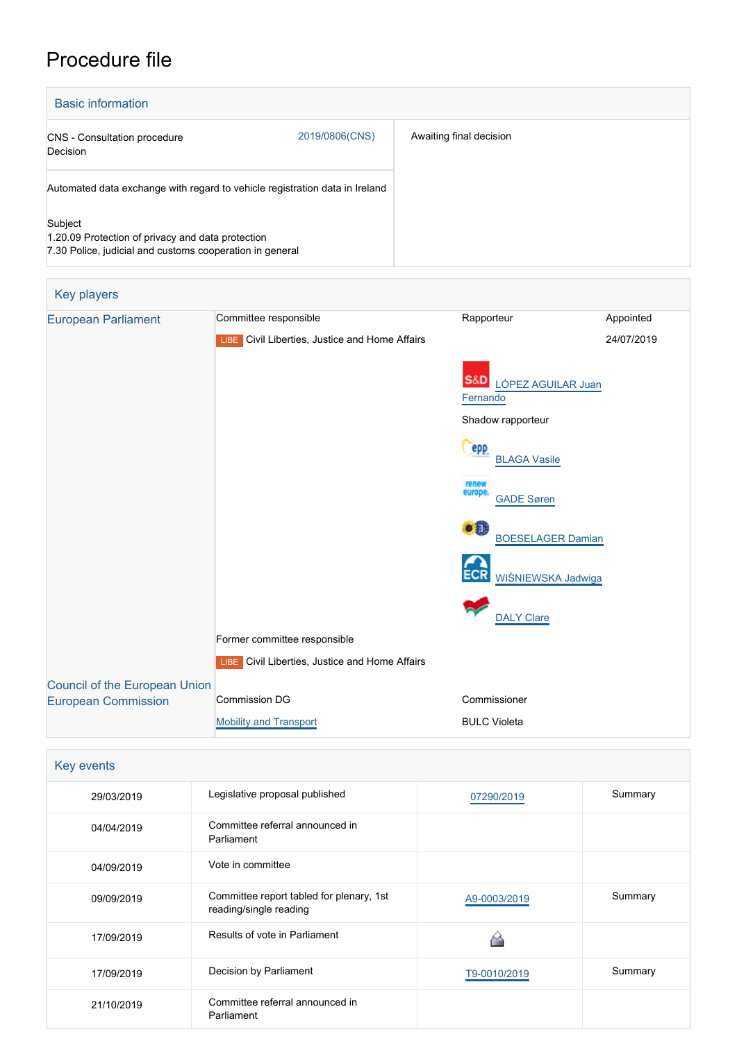# Procedure file

Г



| Key players                                                        |                                                |                                       |            |
|--------------------------------------------------------------------|------------------------------------------------|---------------------------------------|------------|
| <b>European Parliament</b>                                         | Committee responsible                          | Rapporteur                            | Appointed  |
|                                                                    | LIBE Civil Liberties, Justice and Home Affairs |                                       | 24/07/2019 |
|                                                                    |                                                | S&D<br>LÓPEZ AGUILAR Juan<br>Fernando |            |
|                                                                    |                                                | Shadow rapporteur                     |            |
|                                                                    |                                                | <b>PPP</b><br><b>BLAGA Vasile</b>     |            |
|                                                                    |                                                | renew<br>europe.<br><b>GADE Søren</b> |            |
|                                                                    |                                                | DH.<br><b>BOESELAGER Damian</b>       |            |
|                                                                    |                                                | WIŚNIEWSKA Jadwiga                    |            |
|                                                                    |                                                | <b>DALY Clare</b>                     |            |
|                                                                    | Former committee responsible                   |                                       |            |
|                                                                    | LIBE Civil Liberties, Justice and Home Affairs |                                       |            |
| <b>Council of the European Union</b><br><b>European Commission</b> | <b>Commission DG</b>                           | Commissioner                          |            |
|                                                                    | <b>Mobility and Transport</b>                  | <b>BULC Violeta</b>                   |            |

| Key events |                                                                    |              |         |  |  |
|------------|--------------------------------------------------------------------|--------------|---------|--|--|
| 29/03/2019 | Legislative proposal published                                     | 07290/2019   | Summary |  |  |
| 04/04/2019 | Committee referral announced in<br>Parliament                      |              |         |  |  |
| 04/09/2019 | Vote in committee                                                  |              |         |  |  |
| 09/09/2019 | Committee report tabled for plenary, 1st<br>reading/single reading | A9-0003/2019 | Summary |  |  |
| 17/09/2019 | Results of vote in Parliament                                      |              |         |  |  |
| 17/09/2019 | Decision by Parliament                                             | T9-0010/2019 | Summary |  |  |
| 21/10/2019 | Committee referral announced in<br>Parliament                      |              |         |  |  |